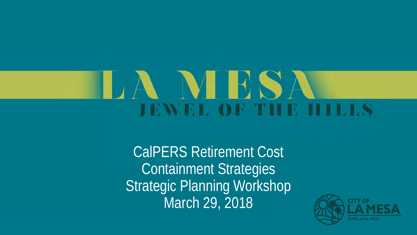# NHS **JEWEL OF THE HILLS**

CalPERS Retirement Cost Containment Strategies Strategic Planning Workshop March 29, 2018

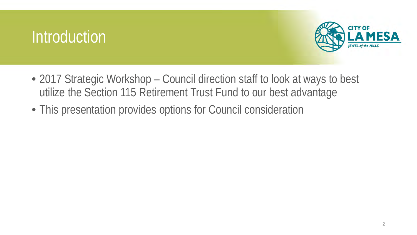#### Introduction



- 2017 Strategic Workshop Council direction staff to look at ways to best utilize the Section 115 Retirement Trust Fund to our best advantage
- This presentation provides options for Council consideration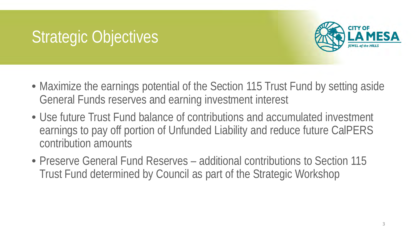# Strategic Objectives



- Maximize the earnings potential of the Section 115 Trust Fund by setting aside General Funds reserves and earning investment interest
- Use future Trust Fund balance of contributions and accumulated investment earnings to pay off portion of Unfunded Liability and reduce future CalPERS contribution amounts
- Preserve General Fund Reserves additional contributions to Section 115 Trust Fund determined by Council as part of the Strategic Workshop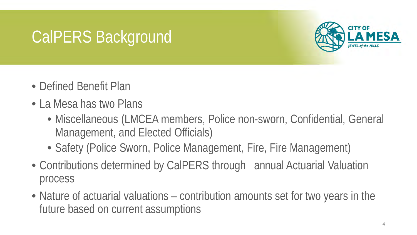#### CalPERS Background



- Defined Benefit Plan
- La Mesa has two Plans
	- Miscellaneous (LMCEA members, Police non-sworn, Confidential, General Management, and Elected Officials)
	- Safety (Police Sworn, Police Management, Fire, Fire Management)
- Contributions determined by CalPERS through annual Actuarial Valuation process
- Nature of actuarial valuations contribution amounts set for two years in the future based on current assumptions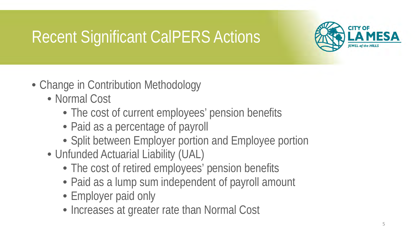# Recent Significant CalPERS Actions



- Change in Contribution Methodology
	- Normal Cost
		- The cost of current employees' pension benefits
		- Paid as a percentage of payroll
		- Split between Employer portion and Employee portion
	- Unfunded Actuarial Liability (UAL)
		- The cost of retired employees' pension benefits
		- Paid as a lump sum independent of payroll amount
		- Employer paid only
		- Increases at greater rate than Normal Cost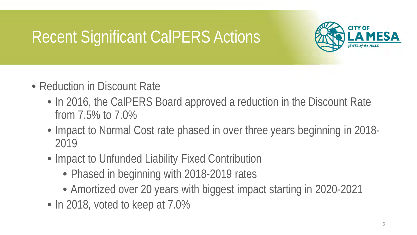### Recent Significant CalPERS Actions



- Reduction in Discount Rate
	- In 2016, the CalPERS Board approved a reduction in the Discount Rate from 7.5% to 7.0%
	- Impact to Normal Cost rate phased in over three years beginning in 2018-2019
	- Impact to Unfunded Liability Fixed Contribution
		- Phased in beginning with 2018-2019 rates
		- Amortized over 20 years with biggest impact starting in 2020-2021
	- In 2018, voted to keep at 7.0%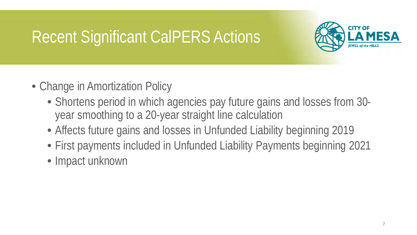### Recent Significant CalPERS Actions



- Change in Amortization Policy
	- Shortens period in which agencies pay future gains and losses from 30 year smoothing to a 20-year straight line calculation
	- Affects future gains and losses in Unfunded Liability beginning 2019
	- First payments included in Unfunded Liability Payments beginning 2021
	- Impact unknown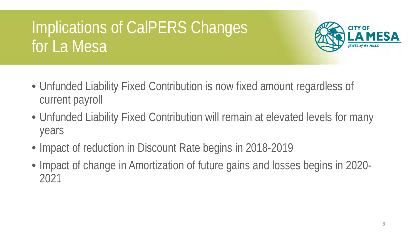# Implications of CalPERS Changes for La Mesa



- Unfunded Liability Fixed Contribution is now fixed amount regardless of current payroll
- Unfunded Liability Fixed Contribution will remain at elevated levels for many years
- Impact of reduction in Discount Rate begins in 2018-2019
- Impact of change in Amortization of future gains and losses begins in 2020-2021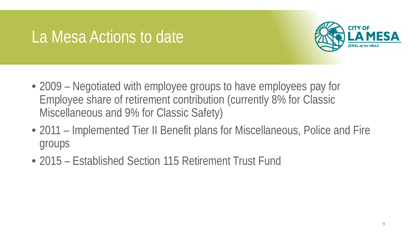#### La Mesa Actions to date



- 2009 Negotiated with employee groups to have employees pay for Employee share of retirement contribution (currently 8% for Classic Miscellaneous and 9% for Classic Safety)
- 2011 Implemented Tier II Benefit plans for Miscellaneous, Police and Fire groups
- 2015 Established Section 115 Retirement Trust Fund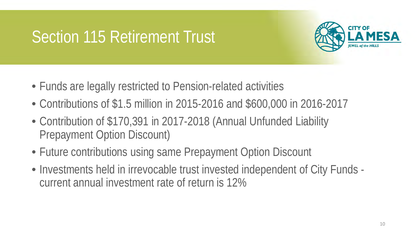

- Funds are legally restricted to Pension-related activities
- Contributions of \$1.5 million in 2015-2016 and \$600,000 in 2016-2017
- Contribution of \$170,391 in 2017-2018 (Annual Unfunded Liability Prepayment Option Discount)
- Future contributions using same Prepayment Option Discount
- Investments held in irrevocable trust invested independent of City Funds current annual investment rate of return is 12%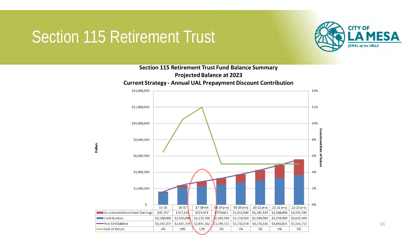



11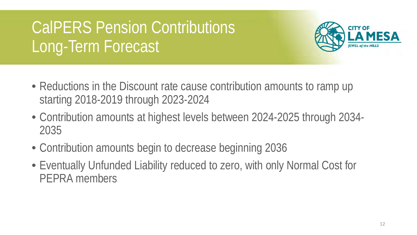# CalPERS Pension Contributions Long-Term Forecast



- Reductions in the Discount rate cause contribution amounts to ramp up starting 2018-2019 through 2023-2024
- Contribution amounts at highest levels between 2024-2025 through 2034- 2035
- Contribution amounts begin to decrease beginning 2036
- Eventually Unfunded Liability reduced to zero, with only Normal Cost for PEPRA members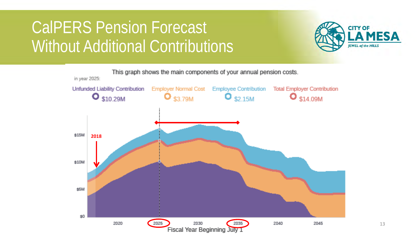### CalPERS Pension Forecast Without Additional Contributions



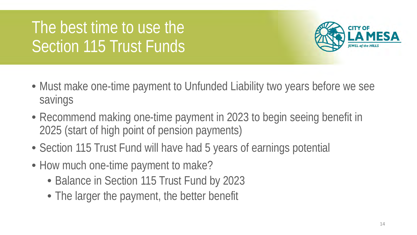# The best time to use the Section 115 Trust Funds



- Must make one-time payment to Unfunded Liability two years before we see savings
- Recommend making one-time payment in 2023 to begin seeing benefit in 2025 (start of high point of pension payments)
- Section 115 Trust Fund will have had 5 years of earnings potential
- How much one-time payment to make?
	- Balance in Section 115 Trust Fund by 2023
	- The larger the payment, the better benefit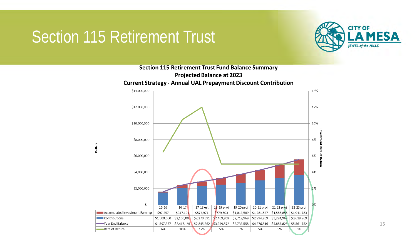

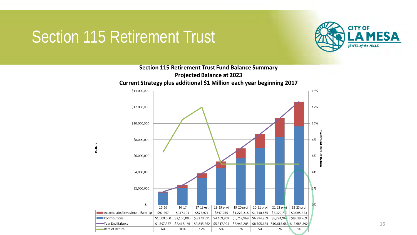



16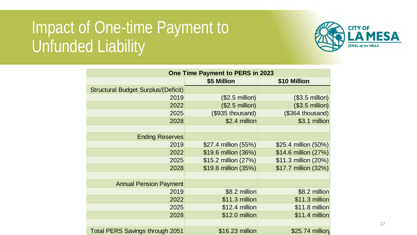### Impact of One-time Payment to Unfunded Liability



| One Time Payment to PERS in 2023           |                      |                      |
|--------------------------------------------|----------------------|----------------------|
|                                            | \$5 Million          | \$10 Million         |
| <b>Structural Budget Surplus/(Deficit)</b> |                      |                      |
| 2019                                       | $($2.5$ million)     | $($3.5$ million)     |
| 2022                                       | $($2.5$ million)     | $($3.5$ million)     |
| 2025                                       | (\$935 thousand)     | (\$364 thousand)     |
| 2028                                       | \$2.4 million        | \$3.1 million        |
|                                            |                      |                      |
| <b>Ending Reserves</b>                     |                      |                      |
| 2019                                       | \$27.4 million (55%) | \$25.4 million (50%) |
| 2022                                       | \$19.6 million (36%) | \$14.6 million (27%) |
| 2025                                       | \$15.2 million (27%) | \$11.3 million (20%) |
| 2028                                       | \$19.8 million (35%) | \$17.7 million (32%) |
|                                            |                      |                      |
| <b>Annual Pension Payment</b>              |                      |                      |
| 2019                                       | \$8.2 million        | \$8.2 million        |
| 2022                                       | \$11.3 million       | \$11.3 million       |
| 2025                                       | \$12.4 million       | \$11.8 million       |
| 2028                                       | \$12.0 million       | \$11.4 million       |
|                                            |                      |                      |
| <b>Total PERS Savings through 2051</b>     | \$16.23 million      | \$25.74 million      |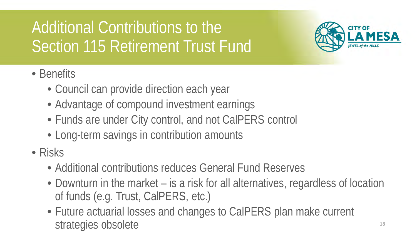# Additional Contributions to the Section 115 Retirement Trust Fund



- Benefits
	- Council can provide direction each year
	- Advantage of compound investment earnings
	- Funds are under City control, and not CalPERS control
	- Long-term savings in contribution amounts
- Risks
	- Additional contributions reduces General Fund Reserves
	- Downturn in the market is a risk for all alternatives, regardless of location of funds (e.g. Trust, CalPERS, etc.)
	- Future actuarial losses and changes to CalPERS plan make current strategies obsolete and the strategies obsolete the strategies obsolete  $18$